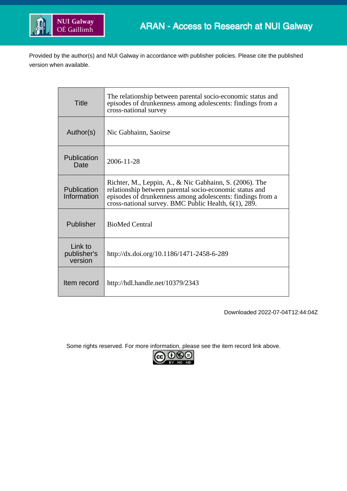

Provided by the author(s) and NUI Galway in accordance with publisher policies. Please cite the published version when available.

| Title                             | The relationship between parental socio-economic status and<br>episodes of drunkenness among adolescents: findings from a<br>cross-national survey                                                                                       |
|-----------------------------------|------------------------------------------------------------------------------------------------------------------------------------------------------------------------------------------------------------------------------------------|
| Author(s)                         | Nic Gabhainn, Saoirse                                                                                                                                                                                                                    |
| Publication<br>Date               | 2006-11-28                                                                                                                                                                                                                               |
| Publication<br>Information        | Richter, M., Leppin, A., & Nic Gabhainn, S. (2006). The<br>relationship between parental socio-economic status and<br>episodes of drunkenness among adolescents: findings from a<br>cross-national survey. BMC Public Health, 6(1), 289. |
| Publisher                         | <b>BioMed Central</b>                                                                                                                                                                                                                    |
| Link to<br>publisher's<br>version | http://dx.doi.org/10.1186/1471-2458-6-289                                                                                                                                                                                                |
| Item record                       | http://hdl.handle.net/10379/2343                                                                                                                                                                                                         |

Downloaded 2022-07-04T12:44:04Z

Some rights reserved. For more information, please see the item record link above.

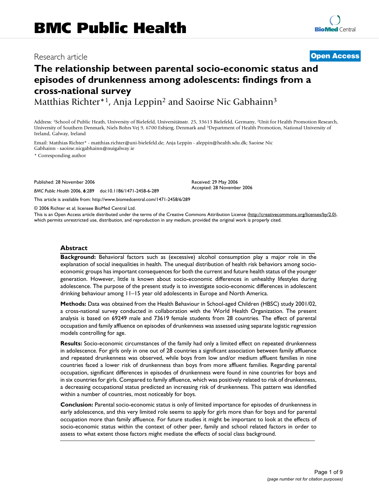# Research article **[Open Access](http://www.biomedcentral.com/info/about/charter/)**

# **The relationship between parental socio-economic status and episodes of drunkenness among adolescents: findings from a cross-national survey**

Matthias Richter\*1, Anja Leppin2 and Saoirse Nic Gabhainn3

Address: 1School of Public Heath, University of Bielefeld, Universitätsstr. 25, 33613 Bielefeld, Germany, 2Unit for Health Promotion Research, University of Southern Denmark, Niels Bohrs Vej 9, 6700 Esbjerg, Denmark and 3Department of Health Promotion, National University of Ireland, Galway, Ireland

Email: Matthias Richter\* - matthias.richter@uni-bielefeld.de; Anja Leppin - aleppin@health.sdu.dk; Saoirse Nic Gabhainn - saoirse.nicgabhainn@nuigalway.ie

\* Corresponding author

Published: 28 November 2006

*BMC Public Health* 2006, **6**:289 doi:10.1186/1471-2458-6-289

[This article is available from: http://www.biomedcentral.com/1471-2458/6/289](http://www.biomedcentral.com/1471-2458/6/289)

© 2006 Richter et al; licensee BioMed Central Ltd.

This is an Open Access article distributed under the terms of the Creative Commons Attribution License [\(http://creativecommons.org/licenses/by/2.0\)](http://creativecommons.org/licenses/by/2.0), which permits unrestricted use, distribution, and reproduction in any medium, provided the original work is properly cited.

Received: 29 May 2006 Accepted: 28 November 2006

#### **Abstract**

**Background:** Behavioral factors such as (excessive) alcohol consumption play a major role in the explanation of social inequalities in health. The unequal distribution of health risk behaviors among socioeconomic groups has important consequences for both the current and future health status of the younger generation. However, little is known about socio-economic differences in unhealthy lifestyles during adolescence. The purpose of the present study is to investigate socio-economic differences in adolescent drinking behaviour among 11–15 year old adolescents in Europe and North America.

**Methods:** Data was obtained from the Health Behaviour in School-aged Children (HBSC) study 2001/02, a cross-national survey conducted in collaboration with the World Health Organization. The present analysis is based on 69249 male and 73619 female students from 28 countries. The effect of parental occupation and family affluence on episodes of drunkenness was assessed using separate logistic regression models controlling for age.

**Results:** Socio-economic circumstances of the family had only a limited effect on repeated drunkenness in adolescence. For girls only in one out of 28 countries a significant association between family affluence and repeated drunkenness was observed, while boys from low and/or medium affluent families in nine countries faced a lower risk of drunkenness than boys from more affluent families. Regarding parental occupation, significant differences in episodes of drunkenness were found in nine countries for boys and in six countries for girls. Compared to family affluence, which was positively related to risk of drunkenness, a decreasing occupational status predicted an increasing risk of drunkenness. This pattern was identified within a number of countries, most noticeably for boys.

**Conclusion:** Parental socio-economic status is only of limited importance for episodes of drunkenness in early adolescence, and this very limited role seems to apply for girls more than for boys and for parental occupation more than family affluence. For future studies it might be important to look at the effects of socio-economic status within the context of other peer, family and school related factors in order to assess to what extent those factors might mediate the effects of social class background.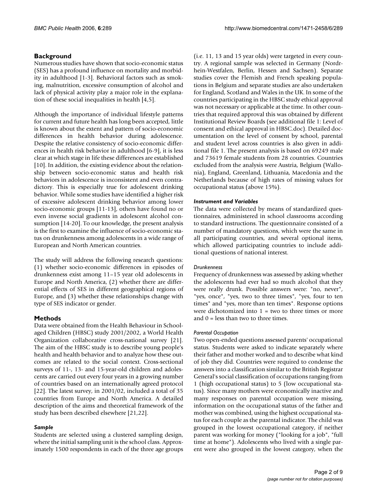## **Background**

Numerous studies have shown that socio-economic status (SES) has a profound influence on mortality and morbidity in adulthood [1-3]. Behavioral factors such as smoking, malnutrition, excessive consumption of alcohol and lack of physical activity play a major role in the explanation of these social inequalities in health [4,5].

Although the importance of individual lifestyle patterns for current and future health has long been accepted, little is known about the extent and pattern of socio-economic differences in health behavior during adolescence. Despite the relative consistency of socio-economic differences in health risk behavior in adulthood [6-9], it is less clear at which stage in life these differences are established [10]. In addition, the existing evidence about the relationship between socio-economic status and health risk behaviors in adolescence is inconsistent and even contradictory. This is especially true for adolescent drinking behavior. While some studies have identified a higher risk of excessive adolescent drinking behavior among lower socio-economic groups [11-13], others have found no or even inverse social gradients in adolescent alcohol consumption [14-20]. To our knowledge, the present analysis is the first to examine the influence of socio-economic status on drunkenness among adolescents in a wide range of European and North American countries.

The study will address the following research questions: (1) whether socio-economic differences in episodes of drunkenness exist among 11–15 year old adolescents in Europe and North America, (2) whether there are differential effects of SES in different geographical regions of Europe, and (3) whether these relationships change with type of SES indicator or gender.

## **Methods**

Data were obtained from the Health Behaviour in Schoolaged Children (HBSC) study 2001/2002, a World Health Organization collaborative cross-national survey [21]. The aim of the HBSC study is to describe young people's health and health behavior and to analyze how these outcomes are related to the social context. Cross-sectional surveys of 11-, 13- and 15-year-old children and adolescents are carried out every four years in a growing number of countries based on an internationally agreed protocol [22]. The latest survey, in 2001/02, included a total of 35 countries from Europe and North America. A detailed description of the aims and theoretical framework of the study has been described elsewhere [21,22].

## *Sample*

Students are selected using a clustered sampling design, where the initial sampling unit is the school class. Approximately 1500 respondents in each of the three age groups (i.e. 11, 13 and 15 year olds) were targeted in every country. A regional sample was selected in Germany (Nordrhein-Westfalen, Berlin, Hessen and Sachsen). Separate studies cover the Flemish and French speaking populations in Belgium and separate studies are also undertaken for England, Scotland and Wales in the UK. In some of the countries participating in the HBSC study ethical approval was not necessary or applicable at the time. In other countries that required approval this was obtained by different Institutional Review Boards (see additional file 1: Level of consent and ethical approval in HBSC.doc). Detailed documentation on the level of consent by school, parental and student level across countries is also given in additional file 1. The present analysis is based on 69249 male and 73619 female students from 28 countries. Countries excluded from the analysis were Austria, Belgium (Wallonia), England, Greenland, Lithuania, Macedonia and the Netherlands because of high rates of missing values for occupational status (above 15%).

## *Instrument and Variables*

The data were collected by means of standardized questionnaires, administered in school classrooms according to standard instructions. The questionnaire consisted of a number of mandatory questions, which were the same in all participating countries, and several optional items, which allowed participating countries to include additional questions of national interest.

#### *Drunkenness*

Frequency of drunkenness was assessed by asking whether the adolescents had ever had so much alcohol that they were really drunk. Possible answers were: "no, never", "yes, once", "yes, two to three times", "yes, four to ten times" and "yes, more than ten times". Response options were dichotomized into  $1 = two$  to three times or more and  $0 =$  less than two to three times.

#### *Parental Occupation*

Two open-ended questions assessed parents' occupational status. Students were asked to indicate separately where their father and mother worked and to describe what kind of job they did. Countries were required to condense the answers into a classification similar to the British Registrar General's social classification of occupations ranging from 1 (high occupational status) to 5 (low occupational status). Since many mothers were economically inactive and many responses on parental occupation were missing, information on the occupational status of the father and mother was combined, using the highest occupational status for each couple as the parental indicator. The child was grouped in the lowest occupational category, if neither parent was working for money ("looking for a job", "full time at home"). Adolescents who lived with a single parent were also grouped in the lowest category, when the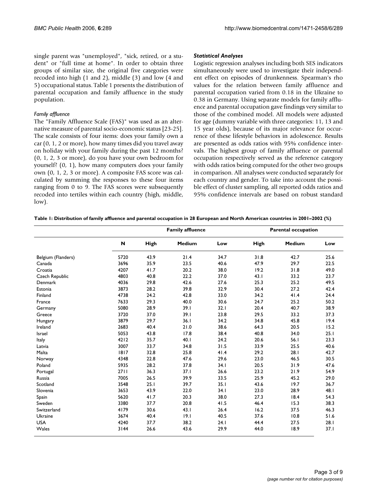single parent was "unemployed", "sick, retired, or a student" or "full time at home". In order to obtain three groups of similar size, the original five categories were recoded into high (1 and 2), middle (3) and low (4 and 5) occupational status. Table 1 presents the distribution of parental occupation and family affluence in the study population.

#### *Family affluence*

The "Family Affluence Scale (FAS)" was used as an alternative measure of parental socio-economic status [23-25]. The scale consists of four items: does your family own a car (0, 1, 2 or more), how many times did you travel away on holiday with your family during the past 12 months? (0, 1, 2, 3 or more), do you have your own bedroom for yourself? (0, 1), how many computers does your family own (0, 1, 2, 3 or more). A composite FAS score was calculated by summing the responses to these four items ranging from 0 to 9. The FAS scores were subsequently recoded into tertiles within each country (high, middle, low).

#### *Statistical Analyses*

Logistic regression analyses including both SES indicators simultaneously were used to investigate their independent effect on episodes of drunkenness. Spearman's rho values for the relation between family affluence and parental occupation varied from 0.18 in the Ukraine to 0.38 in Germany. Using separate models for family affluence and parental occupation gave findings very similar to those of the combined model. All models were adjusted for age (dummy variable with three categories: 11, 13 and 15 year olds), because of its major relevance for occurrence of these lifestyle behaviors in adolescence. Results are presented as odds ratios with 95% confidence intervals. The highest group of family affluence or parental occupation respectively served as the reference category with odds ratios being computed for the other two groups in comparison. All analyses were conducted separately for each country and gender. To take into account the possible effect of cluster sampling, all reported odds ratios and 95% confidence intervals are based on robust standard

| Table I: Distribution of family affluence and parental occupation in 28 European and North American countries in 2001–2002 (%) |  |  |  |  |  |  |
|--------------------------------------------------------------------------------------------------------------------------------|--|--|--|--|--|--|
|                                                                                                                                |  |  |  |  |  |  |

|                    |      |      | <b>Family affluence</b> |      | <b>Parental occupation</b> |               |      |  |  |
|--------------------|------|------|-------------------------|------|----------------------------|---------------|------|--|--|
|                    | N    | High | <b>Medium</b>           | Low  | High                       | <b>Medium</b> | Low  |  |  |
| Belgium (Flanders) | 5720 | 43.9 | 21.4                    | 34.7 | 31.8                       | 42.7          | 25.6 |  |  |
| Canada             | 3696 | 35.9 | 23.5                    | 40.6 | 47.9                       | 29.7          | 22.5 |  |  |
| Croatia            | 4207 | 41.7 | 20.2                    | 38.0 | 19.2                       | 31.8          | 49.0 |  |  |
| Czech Republic     | 4803 | 40.8 | 22.2                    | 37.0 | 43.1                       | 33.2          | 23.7 |  |  |
| Denmark            | 4036 | 29.8 | 42.6                    | 27.6 | 25.3                       | 25.2          | 49.5 |  |  |
| Estonia            | 3873 | 28.2 | 39.8                    | 32.9 | 30.4                       | 27.2          | 42.4 |  |  |
| Finland            | 4738 | 24.2 | 42.8                    | 33.0 | 34.2                       | 41.4          | 24.4 |  |  |
| France             | 7633 | 29.3 | 40.0                    | 30.6 | 24.7                       | 25.2          | 50.2 |  |  |
| Germany            | 5080 | 28.9 | 39.1                    | 32.1 | 20.4                       | 40.7          | 38.9 |  |  |
| Greece             | 3720 | 37.0 | 39.1                    | 23.8 | 29.5                       | 33.2          | 37.3 |  |  |
| Hungary            | 3879 | 29.7 | 36.1                    | 34.2 | 34.8                       | 45.8          | 19.4 |  |  |
| Ireland            | 2683 | 40.4 | 21.0                    | 38.6 | 64.3                       | 20.5          | 15.2 |  |  |
| Israel             | 5053 | 43.8 | 17.8                    | 38.4 | 40.8                       | 34.0          | 25.1 |  |  |
| Italy              | 4212 | 35.7 | 40.1                    | 24.2 | 20.6                       | 56.1          | 23.3 |  |  |
| Latvia             | 3007 | 33.7 | 34.8                    | 31.5 | 33.9                       | 25.5          | 40.6 |  |  |
| Malta              | 1817 | 32.8 | 25.8                    | 41.4 | 29.2                       | 28.1          | 42.7 |  |  |
| Norway             | 4348 | 22.8 | 47.6                    | 29.6 | 23.0                       | 46.5          | 30.5 |  |  |
| Poland             | 5935 | 28.2 | 37.8                    | 34.1 | 20.5                       | 31.9          | 47.6 |  |  |
| Portugal           | 2711 | 36.3 | 37.1                    | 26.6 | 23.2                       | 21.9          | 54.9 |  |  |
| Russia             | 7005 | 26.5 | 39.9                    | 33.5 | 25.9                       | 45.2          | 29.0 |  |  |
| Scotland           | 3548 | 25.1 | 39.7                    | 35.1 | 43.6                       | 19.7          | 36.7 |  |  |
| Slovenia           | 3653 | 43.9 | 22.0                    | 34.1 | 23.0                       | 28.9          | 48.I |  |  |
| Spain              | 5620 | 41.7 | 20.3                    | 38.0 | 27.3                       | 18.4          | 54.3 |  |  |
| Sweden             | 3380 | 37.7 | 20.8                    | 41.5 | 46.4                       | 15.3          | 38.3 |  |  |
| Switzerland        | 4179 | 30.6 | 43.1                    | 26.4 | 16.2                       | 37.5          | 46.3 |  |  |
| Ukraine            | 3674 | 40.4 | 9.1                     | 40.5 | 37.6                       | 10.8          | 51.6 |  |  |
| <b>USA</b>         | 4240 | 37.7 | 38.2                    | 24.1 | 44.4                       | 27.5          | 28.1 |  |  |
| Wales              | 3144 | 26.6 | 43.6                    | 29.9 | 44.0                       | 18.9          | 37.1 |  |  |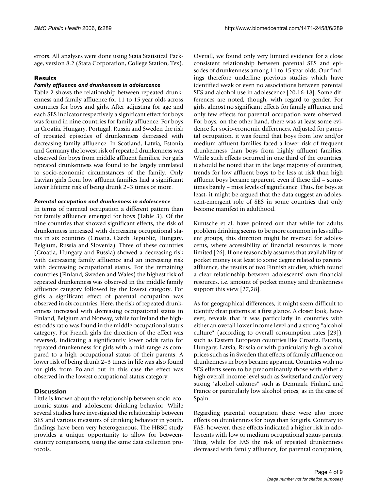errors. All analyses were done using Stata Statistical Package, version 8.2 (Stata Corporation, College Station, Tex).

## **Results**

### *Family affluence and drunkenness in adolescence*

Table 2 shows the relationship between repeated drunkenness and family affluence for 11 to 15 year olds across countries for boys and girls. After adjusting for age and each SES indicator respectively a significant effect for boys was found in nine countries for family affluence. For boys in Croatia, Hungary, Portugal, Russia and Sweden the risk of repeated episodes of drunkenness decreased with decreasing family affluence. In Scotland, Latvia, Estonia and Germany the lowest risk of repeated drunkenness was observed for boys from middle affluent families. For girls repeated drunkenness was found to be largely unrelated to socio-economic circumstances of the family. Only Latvian girls from low affluent families had a significant lower lifetime risk of being drunk 2–3 times or more.

#### *Parental occupation and drunkenness in adolescence*

In terms of parental occupation a different pattern than for family affluence emerged for boys (Table 3). Of the nine countries that showed significant effects, the risk of drunkenness increased with decreasing occupational status in six countries (Croatia, Czech Republic, Hungary, Belgium, Russia and Slovenia). Three of these countries (Croatia, Hungary and Russia) showed a decreasing risk with decreasing family affluence and an increasing risk with decreasing occupational status. For the remaining countries (Finland, Sweden and Wales) the highest risk of repeated drunkenness was observed in the middle family affluence category followed by the lowest category. For girls a significant effect of parental occupation was observed in six countries. Here, the risk of repeated drunkenness increased with decreasing occupational status in Finland, Belgium and Norway, while for Ireland the highest odds ratio was found in the middle occupational status category. For French girls the direction of the effect was reversed, indicating a significantly lower odds ratio for repeated drunkenness for girls with a mid-range as compared to a high occupational status of their parents. A lower risk of being drunk 2–3 times in life was also found for girls from Poland but in this case the effect was observed in the lowest occupational status category.

## **Discussion**

Little is known about the relationship between socio-economic status and adolescent drinking behavior. While several studies have investigated the relationship between SES and various measures of drinking behavior in youth, findings have been very heterogeneous. The HBSC study provides a unique opportunity to allow for betweencountry comparisons, using the same data collection protocols.

Overall, we found only very limited evidence for a close consistent relationship between parental SES and episodes of drunkenness among 11 to 15 year olds. Our findings therefore underline previous studies which have identified weak or even no associations between parental SES and alcohol use in adolescence [20,16-18]. Some differences are noted, though, with regard to gender. For girls, almost no significant effects for family affluence and only few effects for parental occupation were observed. For boys, on the other hand, there was at least some evidence for socio-economic differences. Adjusted for parental occupation, it was found that boys from low and/or medium affluent families faced a lower risk of frequent drunkenness than boys from highly affluent families. While such effects occurred in one third of the countries, it should be noted that in the large majority of countries, trends for low affluent boys to be less at risk than high affluent boys became apparent, even if these did – sometimes barely – miss levels of significance. Thus, for boys at least, it might be argued that the data suggest an adolescent-emergent role of SES in some countries that only become manifest in adulthood.

Kuntsche et al. have pointed out that while for adults problem drinking seems to be more common in less affluent groups, this direction might be reversed for adolescents, where accessibility of financial resources is more limited [26]. If one reasonably assumes that availability of pocket money is at least to some degree related to parents' affluence, the results of two Finnish studies, which found a clear relationship between adolescents' own financial resources, i.e. amount of pocket money and drunkenness support this view [27,28].

As for geographical differences, it might seem difficult to identify clear patterns at a first glance. A closer look, however, reveals that it was particularly in countries with either an overall lower income level and a strong "alcohol culture" (according to overall consumption rates [29]), such as Eastern European countries like Croatia, Estonia, Hungary, Latvia, Russia or with particularly high alcohol prices such as in Sweden that effects of family affluence on drunkenness in boys became apparent. Countries with no SES effects seem to be predominantly those with either a high overall income level such as Switzerland and/or very strong "alcohol cultures" such as Denmark, Finland and France or particularly low alcohol prices, as in the case of Spain.

Regarding parental occupation there were also more effects on drunkenness for boys than for girls. Contrary to FAS, however, these effects indicated a higher risk in adolescents with low or medium occupational status parents. Thus, while for FAS the risk of repeated drunkenness decreased with family affluence, for parental occupation,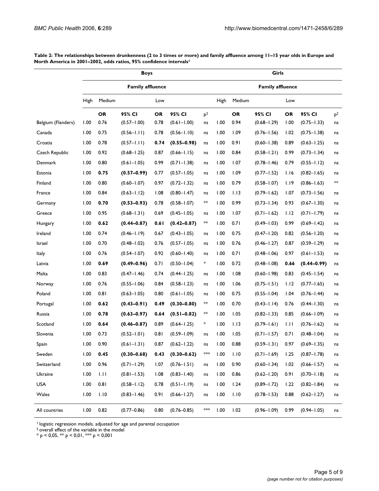|                    | <b>Boys</b>             |        |                 |           |                 |                |      | Girls                   |                 |      |                 |                |  |  |
|--------------------|-------------------------|--------|-----------------|-----------|-----------------|----------------|------|-------------------------|-----------------|------|-----------------|----------------|--|--|
|                    | <b>Family affluence</b> |        |                 |           |                 |                |      | <b>Family affluence</b> |                 |      |                 |                |  |  |
|                    | High                    | Medium |                 | Low       |                 |                | High | Medium                  |                 | Low  |                 |                |  |  |
|                    |                         | OR     | 95% CI          | <b>OR</b> | 95% CI          | p <sup>2</sup> |      | OR                      | 95% CI          | OR   | 95% CI          | p <sup>2</sup> |  |  |
| Belgium (Flanders) | 1.00                    | 0.76   | $(0.57 - 1.00)$ | 0.78      | $(0.61 - 1.00)$ | ns             | 1.00 | 0.94                    | $(0.68 - 1.29)$ | 1.00 | $(0.75 - 1.33)$ | ns             |  |  |
| Canada             | 1.00                    | 0.75   | $(0.56 - 1.11)$ | 0.78      | $(0.56 - 1.10)$ | ns             | 1.00 | 1.09                    | $(0.76 - 1.56)$ | 1.02 | $(0.75 - 1.38)$ | ns             |  |  |
| Croatia            | 1.00                    | 0.78   | $(0.57 - 1.11)$ | 0.74      | $(0.55 - 0.98)$ | ns             | 1.00 | 0.91                    | $(0.60 - 1.38)$ | 0.89 | $(0.63 - 1.25)$ | ns             |  |  |
| Czech Republic     | 1.00                    | 0.92   | $(0.68 - 1.25)$ | 0.87      | $(0.66 - 1.15)$ | ns             | 1.00 | 0.84                    | $(0.58 - 1.21)$ | 0.99 | $(0.73 - 1.34)$ | ns             |  |  |
| Denmark            | 1.00                    | 0.80   | $(0.61 - 1.05)$ | 0.99      | $(0.71 - 1.38)$ | ns             | 1.00 | 1.07                    | $(0.78 - 1.46)$ | 0.79 | $(0.55 - 1.12)$ | ns             |  |  |
| Estonia            | 1.00                    | 0.75   | $(0.57 - 0.99)$ | 0.77      | $(0.57 - 1.05)$ | ns             | 1.00 | 1.09                    | $(0.77 - 1.52)$ | 1.16 | $(0.82 - 1.65)$ | ns             |  |  |
| Finland            | 1.00                    | 0.80   | $(0.60 - 1.07)$ | 0.97      | $(0.72 - 1.32)$ | ns             | 1.00 | 0.79                    | $(0.58 - 1.07)$ | 1.19 | $(0.86 - 1.63)$ | ∗∗             |  |  |
| France             | 1.00                    | 0.84   | $(0.63 - 1.12)$ | 1.08      | $(0.80 - 1.47)$ | ns             | 1.00 | 1.13                    | $(0.79 - 1.62)$ | 1.07 | $(0.73 - 1.56)$ | ns             |  |  |
| Germany            | 1.00                    | 0.70   | $(0.53 - 0.93)$ | 0.78      | $(0.58 - 1.07)$ | ∗∗             | 1.00 | 0.99                    | $(0.73 - 1.34)$ | 0.93 | $(0.67 - 1.30)$ | ns             |  |  |
| Greece             | 1.00                    | 0.95   | $(0.68 - 1.31)$ | 0.69      | $(0.45 - 1.05)$ | ns             | 1.00 | 1.07                    | $(0.71 - 1.62)$ | 1.12 | $(0.71 - 1.79)$ | ns             |  |  |
| Hungary            | 1.00                    | 0.62   | $(0.44 - 0.87)$ | 0.61      | $(0.42 - 0.87)$ | ∗∗             | 1.00 | 0.71                    | $(0.49 - 1.03)$ | 0.99 | $(0.69 - 1.42)$ | ns             |  |  |
| Ireland            | 1.00                    | 0.74   | $(0.46 - 1.19)$ | 0.67      | $(0.43 - 1.05)$ | ns             | 1.00 | 0.75                    | $(0.47 - 1.20)$ | 0.82 | $(0.56 - 1.20)$ | ns             |  |  |
| Israel             | 1.00                    | 0.70   | $(0.48 - 1.02)$ | 0.76      | $(0.57 - 1.05)$ | ns             | 1.00 | 0.76                    | $(0.46 - 1.27)$ | 0.87 | $(0.59 - 1.29)$ | ns             |  |  |
| Italy              | 1.00                    | 0.76   | $(0.54 - 1.07)$ | 0.92      | $(0.60 - 1.40)$ | ns             | 1.00 | 0.71                    | $(0.48 - 1.06)$ | 0.97 | $(0.61 - 1.53)$ | ns             |  |  |
| Latvia             | 1.00                    | 0.69   | $(0.49 - 0.96)$ | 0.71      | $(0.50 - 1.04)$ | $\ast$         | 1.00 | 0.72                    | $(0.48 - 1.08)$ | 0.66 | $(0.44 - 0.99)$ | ns             |  |  |
| Malta              | 1.00                    | 0.83   | $(0.47 - 1.46)$ | 0.74      | $(0.44 - 1.25)$ | ns             | 1.00 | 1.08                    | $(0.60 - 1.98)$ | 0.83 | $(0.45 - 1.54)$ | ns             |  |  |
| Norway             | 1.00                    | 0.76   | $(0.55 - 1.06)$ | 0.84      | $(0.58 - 1.23)$ | ns             | 1.00 | 1.06                    | $(0.75 - 1.51)$ | 1.12 | $(0.77 - 1.65)$ | ns             |  |  |
| Poland             | 1.00                    | 0.81   | $(0.63 - 1.05)$ | 0.80      | $(0.61 - 1.05)$ | ns             | 1.00 | 0.75                    | $(0.55 - 1.04)$ | 1.04 | $(0.76 - 1.44)$ | ns             |  |  |
| Portugal           | 1.00                    | 0.62   | $(0.43 - 0.91)$ | 0.49      | $(0.30 - 0.80)$ | ∗∗             | 1.00 | 0.70                    | $(0.43 - 1.14)$ | 0.76 | $(0.44 - 1.30)$ | ns             |  |  |
| Russia             | 1.00                    | 0.78   | $(0.63 - 0.97)$ | 0.64      | $(0.51 - 0.82)$ | ∗∗             | 1.00 | 1.05                    | $(0.82 - 1.33)$ | 0.85 | $(0.66 - 1.09)$ | ns             |  |  |
| Scotland           | 1.00                    | 0.64   | $(0.46 - 0.87)$ | 0.89      | $(0.64 - 1.25)$ | ∗              | 1.00 | 1.13                    | $(0.79 - 1.61)$ | 1.11 | $(0.76 - 1.62)$ | ns             |  |  |
| Slovenia           | 1.00                    | 0.73   | $(0.52 - 1.01)$ | 0.81      | $(0.59 - 1.09)$ | ns             | 1.00 | 1.05                    | $(0.71 - 1.57)$ | 0.71 | $(0.48 - 1.04)$ | ns             |  |  |
| Spain              | 1.00                    | 0.90   | $(0.61 - 1.31)$ | 0.87      | $(0.62 - 1.22)$ | ns             | 1.00 | 0.88                    | $(0.59 - 1.31)$ | 0.97 | $(0.69 - 1.35)$ | ns             |  |  |
| Sweden             | 1.00                    | 0.45   | $(0.30 - 0.68)$ | 0.43      | $(0.30 - 0.62)$ | $*$            | 1.00 | 1.10                    | $(0.71 - 1.69)$ | 1.25 | $(0.87 - 1.78)$ | ns             |  |  |
| Switzerland        | 1.00                    | 0.96   | $(0.71 - 1.29)$ | 1.07      | $(0.76 - 1.51)$ | ns             | 1.00 | 0.90                    | $(0.60 - 1.34)$ | 1.02 | $(0.66 - 1.57)$ | ns             |  |  |
| Ukraine            | 1.00                    | 1.11   | $(0.81 - 1.53)$ | 1.08      | $(0.83 - 1.40)$ | ns             | 1.00 | 0.86                    | $(0.62 - 1.20)$ | 0.91 | $(0.70 - 1.18)$ | ns             |  |  |
| <b>USA</b>         | 1.00                    | 0.81   | $(0.58 - 1.12)$ | 0.78      | $(0.51 - 1.19)$ | ns             | 1.00 | 1.24                    | $(0.89 - 1.72)$ | 1.22 | $(0.82 - 1.84)$ | ns             |  |  |
| Wales              | 1.00                    | 1.10   | $(0.83 - 1.46)$ | 0.91      | $(0.66 - 1.27)$ | ns             | 1.00 | 1.10                    | $(0.78 - 1.53)$ | 0.88 | $(0.62 - 1.27)$ | ns             |  |  |
| All countries      | 1.00                    | 0.82   | $(0.77 - 0.86)$ | 0.80      | $(0.76 - 0.85)$ | $*$            | 1.00 | 1.02                    | $(0.96 - 1.09)$ | 0.99 | $(0.94 - 1.05)$ | ns             |  |  |

**Table 2: The relationships between drunkenness (2 to 3 times or more) and family affluence among 11–15 year olds in Europe and**  North America in 2001–2002, odds ratios, 95% confidence intervals<sup>1</sup>

1 logistic regression models. adjusted for age and parental occupation

<sup>2</sup> overall effect of the variable in the model

\* p < 0,05, \*\* p < 0,01, \*\*\* p < 0,001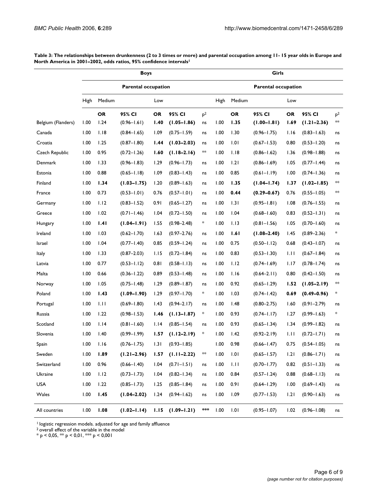|                    |      |           | <b>Boys</b>                |           |                 | Girls          |                            |           |                 |      |                 |                |
|--------------------|------|-----------|----------------------------|-----------|-----------------|----------------|----------------------------|-----------|-----------------|------|-----------------|----------------|
|                    |      |           | <b>Parental occupation</b> |           |                 |                | <b>Parental occupation</b> |           |                 |      |                 |                |
|                    | High | Medium    |                            | Low       |                 |                | High                       | Medium    |                 | Low  |                 |                |
|                    |      | <b>OR</b> | 95% CI                     | <b>OR</b> | 95% CI          | p <sup>2</sup> |                            | <b>OR</b> | 95% CI          | OR   | 95% CI          | p <sup>2</sup> |
| Belgium (Flanders) | 1.00 | 1.24      | $(0.96 - 1.61)$            | 1.40      | $(1.05 - 1.86)$ | ns             | 1.00                       | 1.35      | $(1.00 - 1.81)$ | 1.69 | $(1.21 - 2.36)$ | ∗∗             |
| Canada             | 1.00 | 1.18      | $(0.84 - 1.65)$            | 1.09      | $(0.75 - 1.59)$ | ns             | 1.00                       | 1.30      | $(0.96 - 1.75)$ | 1.16 | $(0.83 - 1.63)$ | ns             |
| Croatia            | 1.00 | 1.25      | $(0.87 - 1.80)$            | 1.44      | $(1.03 - 2.03)$ | ns             | 1.00                       | 1.01      | $(0.67 - 1.53)$ | 0.80 | $(0.53 - 1.20)$ | ns             |
| Czech Republic     | 1.00 | 0.95      | $(0.72 - 1.26)$            | 1.60      | $(1.18 - 2.16)$ | ∗∗             | 1.00                       | 1.18      | $(0.86 - 1.62)$ | 1.36 | $(0.98 - 1.88)$ | ns             |
| Denmark            | 1.00 | 1.33      | $(0.96 - 1.83)$            | 1.29      | $(0.96 - 1.73)$ | ns             | 1.00                       | 1.21      | $(0.86 - 1.69)$ | 1.05 | $(0.77 - 1.44)$ | ns             |
| Estonia            | 1.00 | 0.88      | $(0.65 - 1.18)$            | 1.09      | $(0.83 - 1.43)$ | ns             | 1.00                       | 0.85      | $(0.61 - 1.19)$ | 1.00 | $(0.74 - 1.36)$ | ns             |
| Finland            | 1.00 | 1.34      | $(1.03 - 1.75)$            | 1.20      | $(0.89 - 1.63)$ | ns             | 1.00                       | 1.35      | $(1.04 - 1.74)$ | 1.37 | $(1.02 - 1.85)$ | ∗∗             |
| France             | 1.00 | 0.73      | $(0.53 - 1.01)$            | 0.76      | $(0.57 - 1.01)$ | ns             | 1.00                       | 0.44      | $(0.29 - 0.67)$ | 0.76 | $(0.55 - 1.05)$ | ∗∗             |
| Germany            | 1.00 | 1.12      | $(0.83 - 1.52)$            | 0.91      | $(0.65 - 1.27)$ | ns             | 1.00                       | 1.31      | $(0.95 - 1.81)$ | 1.08 | $(0.76 - 1.55)$ | ns             |
| Greece             | 1.00 | 1.02      | $(0.71 - 1.46)$            | 1.04      | $(0.72 - 1.50)$ | ns             | 1.00                       | 1.04      | $(0.68 - 1.60)$ | 0.83 | $(0.52 - 1.31)$ | ns             |
| Hungary            | 1.00 | 1.41      | $(1.04 - 1.91)$            | 1.55      | $(0.98 - 2.48)$ | $\ast$         | 1.00                       | 1.13      | $(0.81 - 1.56)$ | 1.05 | $(0.70 - 1.60)$ | ns             |
| Ireland            | 1.00 | 1.03      | $(0.62 - 1.70)$            | 1.63      | $(0.97 - 2.76)$ | ns             | 1.00                       | 1.61      | $(1.08 - 2.40)$ | 1.45 | $(0.89 - 2.36)$ | *              |
| Israel             | 1.00 | 1.04      | $(0.77 - 1.40)$            | 0.85      | $(0.59 - 1.24)$ | ns             | 1.00                       | 0.75      | $(0.50 - 1.12)$ | 0.68 | $(0.43 - 1.07)$ | ns             |
| Italy              | 1.00 | 1.33      | $(0.87 - 2.03)$            | 1.15      | $(0.72 - 1.84)$ | ns             | 1.00                       | 0.83      | $(0.53 - 1.30)$ | 1.11 | $(0.67 - 1.84)$ | ns             |
| Latvia             | 1.00 | 0.77      | $(0.53 - 1.12)$            | 0.81      | $(0.58 - 1.13)$ | ns             | 1.00                       | 1.12      | $(0.74 - 1.69)$ | 1.17 | $(0.78 - 1.74)$ | ns             |
| Malta              | 1.00 | 0.66      | $(0.36 - 1.22)$            | 0.89      | $(0.53 - 1.48)$ | ns             | 1.00                       | 1.16      | $(0.64 - 2.11)$ | 0.80 | $(0.42 - 1.50)$ | ns             |
| Norway             | 1.00 | 1.05      | $(0.75 - 1.48)$            | 1.29      | $(0.89 - 1.87)$ | ns             | 1.00                       | 0.92      | $(0.65 - 1.29)$ | 1.52 | $(1.05 - 2.19)$ | ∗∗             |
| Poland             | 1.00 | 1.43      | $(1.09 - 1.90)$            | 1.29      | $(0.97 - 1.70)$ | $\ast$         | 1.00                       | 1.03      | $(0.74 - 1.42)$ | 0.69 | $(0.49 - 0.96)$ | *              |
| Portugal           | 1.00 | 1.11      | $(0.69 - 1.80)$            | 1.43      | $(0.94 - 2.17)$ | ns             | 1.00                       | 1.48      | $(0.80 - 2.75)$ | 1.60 | $(0.91 - 2.79)$ | ns             |
| Russia             | 1.00 | 1.22      | $(0.98 - 1.53)$            | 1.46      | $(1.13 - 1.87)$ | ∗              | 1.00                       | 0.93      | $(0.74 - 1.17)$ | 1.27 | $(0.99 - 1.63)$ | *              |
| Scotland           | 1.00 | 1.14      | $(0.81 - 1.60)$            | 1.14      | $(0.85 - 1.54)$ | ns             | 1.00                       | 0.93      | $(0.65 - 1.34)$ | 1.34 | $(0.99 - 1.82)$ | ns             |
| Slovenia           | 1.00 | 1.40      | $(0.99 - 1.99)$            | 1.57      | $(1.12 - 2.19)$ | *              | 1.00                       | 1.42      | $(0.92 - 2.19)$ | 1.11 | $(0.72 - 1.71)$ | ns             |
| Spain              | 1.00 | 1.16      | $(0.76 - 1.75)$            | 1.31      | $(0.93 - 1.85)$ |                | 1.00                       | 0.98      | $(0.66 - 1.47)$ | 0.75 | $(0.54 - 1.05)$ | ns             |
| Sweden             | 1.00 | 1.89      | $(1.21 - 2.96)$            | 1.57      | $(1.11 - 2.22)$ | **             | 1.00                       | 1.01      | $(0.65 - 1.57)$ | 1.21 | $(0.86 - 1.71)$ | ns             |
| Switzerland        | 1.00 | 0.96      | $(0.66 - 1.40)$            | 1.04      | $(0.71 - 1.51)$ | ns             | 1.00                       | 1.11      | $(0.70 - 1.77)$ | 0.82 | $(0.51 - 1.33)$ | ns             |
| Ukraine            | 1.00 | 1.12      | $(0.73 - 1.73)$            | 1.04      | $(0.82 - 1.34)$ | ns             | 1.00                       | 0.84      | $(0.57 - 1.24)$ | 0.88 | $(0.68 - 1.13)$ | ns             |
| <b>USA</b>         | 1.00 | 1.22      | $(0.85 - 1.73)$            | 1.25      | $(0.85 - 1.84)$ | ns             | 1.00                       | 0.91      | $(0.64 - 1.29)$ | 1.00 | $(0.69 - 1.43)$ | ns             |
| Wales              | 1.00 | 1.45      | $(1.04 - 2.02)$            | 1.24      | $(0.94 - 1.62)$ | ns             | 1.00                       | 1.09      | $(0.77 - 1.53)$ | 1.21 | $(0.90 - 1.63)$ | ns             |
| All countries      | 1.00 | 1.08      | $(1.02 - 1.14)$            | 1.15      | $(1.09 - 1.21)$ | ***            | 1.00                       | 1.01      | $(0.95 - 1.07)$ | 1.02 | $(0.96 - 1.08)$ | ns             |

**Table 3: The relationships between drunkenness (2 to 3 times or more) and parental occupation among 11- 15 year olds in Europe and**  North America in 2001–2002, odds ratios, 95% confidence intervals<sup>1</sup>

1 logistic regression models. adjusted for age and family affluence

<sup>2</sup> overall effect of the variable in the model

\* p < 0,05, \*\* p < 0,01, \*\*\* p < 0,001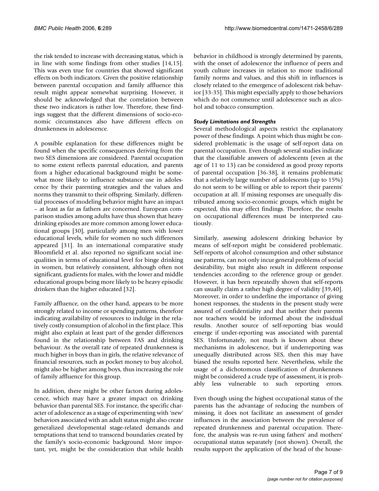the risk tended to increase with decreasing status, which is in line with some findings from other studies [14,15]. This was even true for countries that showed significant effects on both indicators. Given the positive relationship between parental occupation and family affluence this result might appear somewhat surprising. However, it should be acknowledged that the correlation between these two indicators is rather low. Therefore, these findings suggest that the different dimensions of socio-economic circumstances also have different effects on drunkenness in adolescence.

A possible explanation for these differences might be found when the specific consequences deriving from the two SES dimensions are considered. Parental occupation to some extent reflects parental education, and parents from a higher educational background might be somewhat more likely to influence substance use in adolescence by their parenting strategies and the values and norms they transmit to their offspring. Similarly, differential processes of modeling behavior might have an impact – at least as far as fathers are concerned. European comparison studies among adults have thus shown that heavy drinking episodes are more common among lower educational groups [30], particularly among men with lower educational levels, while for women no such differences appeared [31]. In an international comparative study Bloomfield et al. also reported no significant social inequalities in terms of educational level for binge drinking in women, but relatively consistent, although often not significant, gradients for males, with the lower and middle educational groups being more likely to be heavy episodic drinkers than the higher educated [32].

Family affluence, on the other hand, appears to be more strongly related to income or spending patterns, therefore indicating availability of resources to indulge in the relatively costly consumption of alcohol in the first place. This might also explain at least part of the gender differences found in the relationship between FAS and drinking behaviour. As the overall rate of repeated drunkenness is much higher in boys than in girls, the relative relevance of financial resources, such as pocket money to buy alcohol, might also be higher among boys, thus increasing the role of family affluence for this group.

In addition, there might be other factors during adolescence, which may have a greater impact on drinking behavior than parental SES. For instance, the specific character of adolescence as a stage of experimenting with 'new' behaviors associated with an adult status might also create generalized developmental stage-related demands and temptations that tend to transcend boundaries created by the family's socio-economic background. More important, yet, might be the consideration that while health

behavior in childhood is strongly determined by parents, with the onset of adolescence the influence of peers and youth culture increases in relation to more traditional family norms and values, and this shift in influences is closely related to the emergence of adolescent risk behavior [33-35]. This might especially apply to those behaviors which do not commence until adolescence such as alcohol and tobacco consumption.

### *Study Limitations and Strengths*

Several methodological aspects restrict the explanatory power of these findings. A point which thus might be considered problematic is the usage of self-report data on parental occupation. Even though several studies indicate that the classifiable answers of adolescents (even at the age of 11 to 13) can be considered as good proxy reports of parental occupation [36-38], it remains problematic that a relatively large number of adolescents (up to 15%) do not seem to be willing or able to report their parents' occupation at all. If missing responses are unequally distributed among socio-economic groups, which might be expected, this may effect findings. Therefore, the results on occupational differences must be interpreted cautiously.

Similarly, assessing adolescent drinking behavior by means of self-report might be considered problematic. Self-reports of alcohol consumption and other substance use patterns, can not only incur general problems of social desirability, but might also result in different response tendencies according to the reference group or gender. However, it has been repeatedly shown that self-reports can usually claim a rather high degree of validity [39,40]. Moreover, in order to underline the importance of giving honest responses, the students in the present study were assured of confidentiality and that neither their parents nor teachers would be informed about the individual results. Another source of self-reporting bias would emerge if under-reporting was associated with parental SES. Unfortunately, not much is known about these mechanisms in adolescence, but if underreporting was unequally distributed across SES, then this may have biased the results reported here. Nevertheless, while the usage of a dichotomous classification of drunkenness might be considered a crude type of assessment, it is probably less vulnerable to such reporting errors.

Even though using the highest occupational status of the parents has the advantage of reducing the numbers of missing, it does not facilitate an assessment of gender influences in the association between the prevalence of repeated drunkenness and parental occupation. Therefore, the analysis was re-run using fathers' and mothers' occupational status separately (not shown). Overall, the results support the application of the head of the house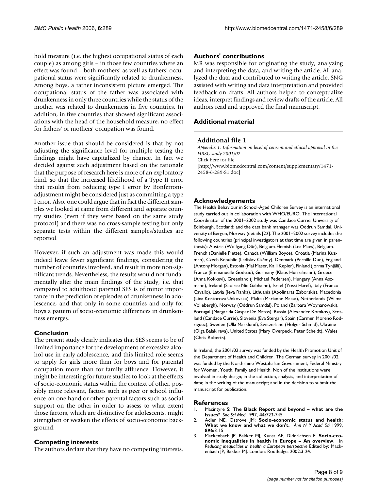hold measure (i.e. the highest occupational status of each couple) as among girls – in those few countries where an effect was found – both mothers' as well as fathers' occupational status were significantly related to drunkenness. Among boys, a rather inconsistent picture emerged. The occupational status of the father was associated with drunkenness in only three countries while the status of the mother was related to drunkenness in five countries. In addition, in five countries that showed significant associations with the head of the household measure, no effect for fathers' or mothers' occupation was found.

Another issue that should be considered is that by not adjusting the significance level for multiple testing the findings might have capitalized by chance. In fact we decided against such adjustment based on the rationale that the purpose of research here is more of an exploratory kind, so that the increased likelihood of a Type II error that results from reducing type I error by Bonferroniadjustment might be considered just as committing a type I error. Also, one could argue that in fact the different samples we looked at came from different and separate country studies (even if they were based on the same study protocol) and there was no cross-sample testing but only separate tests within the different samples/studies are reported.

However, if such an adjustment was made this would indeed leave fewer significant findings, considering the number of countries involved, and result in more non-significant trends. Nevertheless, the results would not fundamentally alter the main findings of the study, i.e. that compared to adulthood parental SES is of minor importance in the prediction of episodes of drunkenness in adolescence, and that only in some countries and only for boys a pattern of socio-economic differences in drunkenness emerges.

## **Conclusion**

The present study clearly indicates that SES seems to be of limited importance for the development of excessive alcohol use in early adolescence, and this limited role seems to apply for girls more than for boys and for parental occupation more than for family affluence. However, it might be interesting for future studies to look at the effects of socio-economic status within the context of other, possibly more relevant, factors such as peer or school influence on one hand or other parental factors such as social support on the other in order to assess to what extent those factors, which are distinctive for adolescents, might strengthen or weaken the effects of socio-economic background.

## **Competing interests**

The authors declare that they have no competing interests.

## **Authors' contributions**

MR was responsible for originating the study, analyzing and interpreting the data, and writing the article. AL analyzed the data and contributed to writing the article. SNG assisted with writing and data interpretation and provided feedback on drafts. All authors helped to conceptualize ideas, interpret findings and review drafts of the article. All authors read and approved the final manuscript.

# **Additional material**

## **Additional file 1**

*Appendix 1: Information on level of consent and ethical approval in the HBSC study 2001/02* Click here for file [\[http://www.biomedcentral.com/content/supplementary/1471-](http://www.biomedcentral.com/content/supplementary/1471-2458-6-289-S1.doc) 2458-6-289-S1.doc]

## **Acknowledgements**

The Health Behaviour in School-Aged Children Survey is an international study carried out in collaboration with WHO/EURO. The International Coordinator of the 2001–2002 study was Candace Currie, University of Edinburgh, Scotland; and the data bank manager was Oddrun Samdal, University of Bergen, Norway (details [22]. The 2001–2002 survey includes the following countries (principal investigators at that time are given in parenthesis): Austria (Wolfgang Dür), Belgium-Flemish (Lea Maes), Belgium-French (Danielle Piette), Canada (William Boyce), Croatia (Marina Kuzman), Czech Republic (Ladislav Csémy), Denmark (Pernille Due), England (Antony Morgan), Estonia (Mai Maser, Kaili Kepler), Finland (Jorma Tynjälä), France (Emmanuelle Godeau), Germany (Klaus Hurrelmann), Greece (Anna Kokkevi), Greenland (J Michael Pedersen), Hungary (Anna Aszmann), Ireland (Saoirse Nic Gabhainn), Israel (Yossi Harel), Italy (Franco Cavallo), Latvia (Ieva Ranka), Lithuania (Apolinaras Zaborskis), Macedonia (Lina Kostorova Unkovska), Malta (Marianne Massa), Netherlands (Wilma Vollebergh), Norway (Oddrun Samdal), Poland (Barbara Woynarowski), Portugal (Margarida Gaspar De Matos), Russia (Alexander Komkov), Scotland (Candace Currie), Slovenia (Eva Stergar), Spain (Carmen Moreno Rodriguez), Sweden (Ulla Marklund), Switzerland (Holger Schmid), Ukraine (Olga Balakireva), United States (Mary Overpeck, Peter Scheidt), Wales (Chris Roberts).

In Ireland, the 2001/02 survey was funded by the Health Promotion Unit of the Department of Health and Children. The German survey in 2001/02 was funded by the Northrhine-Westphalian Government, Federal Ministry for Women, Youth, Family and Health. Non of the institutions were involved in study design; in the collection, analysis, and interpretation of data; in the writing of the manuscript; and in the decision to submit the manuscript for publication.

#### **References**

- 1. Macintyre S: **[The Black Report and beyond what are the](http://www.ncbi.nlm.nih.gov/entrez/query.fcgi?cmd=Retrieve&db=PubMed&dopt=Abstract&list_uids=9080558) [issues?](http://www.ncbi.nlm.nih.gov/entrez/query.fcgi?cmd=Retrieve&db=PubMed&dopt=Abstract&list_uids=9080558)** *Soc Sci Med* 1997, **44:**723-745.
- 2. Adler NE, Ostrove JM: **[Socio-economic status and health:](http://www.ncbi.nlm.nih.gov/entrez/query.fcgi?cmd=Retrieve&db=PubMed&dopt=Abstract&list_uids=10681884) [What we know and what we don't.](http://www.ncbi.nlm.nih.gov/entrez/query.fcgi?cmd=Retrieve&db=PubMed&dopt=Abstract&list_uids=10681884)** *Ann N Y Acad Sci* 1999, **896:**3-15.
- 3. Mackenbach JP, Bakker MJ, Kunst AE, Diderichsen F: **Socio-economic inequalities in health in Europe – An overview.** In *Reducing inequalities in health a European perspective* Edited by: Mackenbach JP, Bakker MJ. London: Routledge; 2002:3-24.